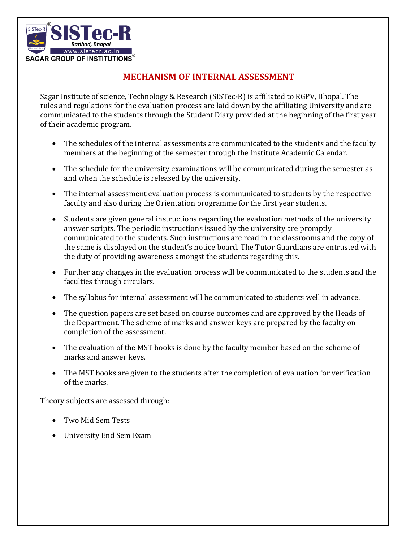

## **MECHANISM OF INTERNAL ASSESSMENT**

Sagar Institute of science, Technology & Research (SISTec-R) is affiliated to RGPV, Bhopal. The rules and regulations for the evaluation process are laid down by the affiliating University and are communicated to the students through the Student Diary provided at the beginning of the first year of their academic program.

- The schedules of the internal assessments are communicated to the students and the faculty members at the beginning of the semester through the Institute Academic Calendar.
- The schedule for the university examinations will be communicated during the semester as and when the schedule is released by the university.
- The internal assessment evaluation process is communicated to students by the respective faculty and also during the Orientation programme for the first year students.
- Students are given general instructions regarding the evaluation methods of the university answer scripts. The periodic instructions issued by the university are promptly communicated to the students. Such instructions are read in the classrooms and the copy of the same is displayed on the student's notice board. The Tutor Guardians are entrusted with the duty of providing awareness amongst the students regarding this.
- Further any changes in the evaluation process will be communicated to the students and the faculties through circulars.
- The syllabus for internal assessment will be communicated to students well in advance.
- The question papers are set based on course outcomes and are approved by the Heads of the Department. The scheme of marks and answer keys are prepared by the faculty on completion of the assessment.
- The evaluation of the MST books is done by the faculty member based on the scheme of marks and answer keys.
- The MST books are given to the students after the completion of evaluation for verification of the marks.

Theory subjects are assessed through:

- Two Mid Sem Tests
- University End Sem Exam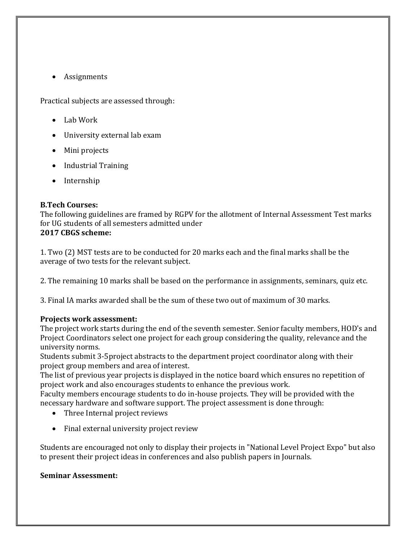• Assignments

Practical subjects are assessed through:

- $\bullet$  Lab Work
- University external lab exam
- Mini projects
- Industrial Training
- Internship

## **B.Tech Courses:**

The following guidelines are framed by RGPV for the allotment of Internal Assessment Test marks for UG students of all semesters admitted under **2017 CBGS scheme:** 

1. Two (2) MST tests are to be conducted for 20 marks each and the final marks shall be the average of two tests for the relevant subject.

2. The remaining 10 marks shall be based on the performance in assignments, seminars, quiz etc.

3. Final IA marks awarded shall be the sum of these two out of maximum of 30 marks.

## **Projects work assessment:**

The project work starts during the end of the seventh semester. Senior faculty members, HOD's and Project Coordinators select one project for each group considering the quality, relevance and the university norms.

Students submit 3-5project abstracts to the department project coordinator along with their project group members and area of interest.

The list of previous year projects is displayed in the notice board which ensures no repetition of project work and also encourages students to enhance the previous work.

Faculty members encourage students to do in-house projects. They will be provided with the necessary hardware and software support. The project assessment is done through:

- Three Internal project reviews
- Final external university project review

Students are encouraged not only to display their projects in "National Level Project Expo" but also to present their project ideas in conferences and also publish papers in Journals.

## **Seminar Assessment:**